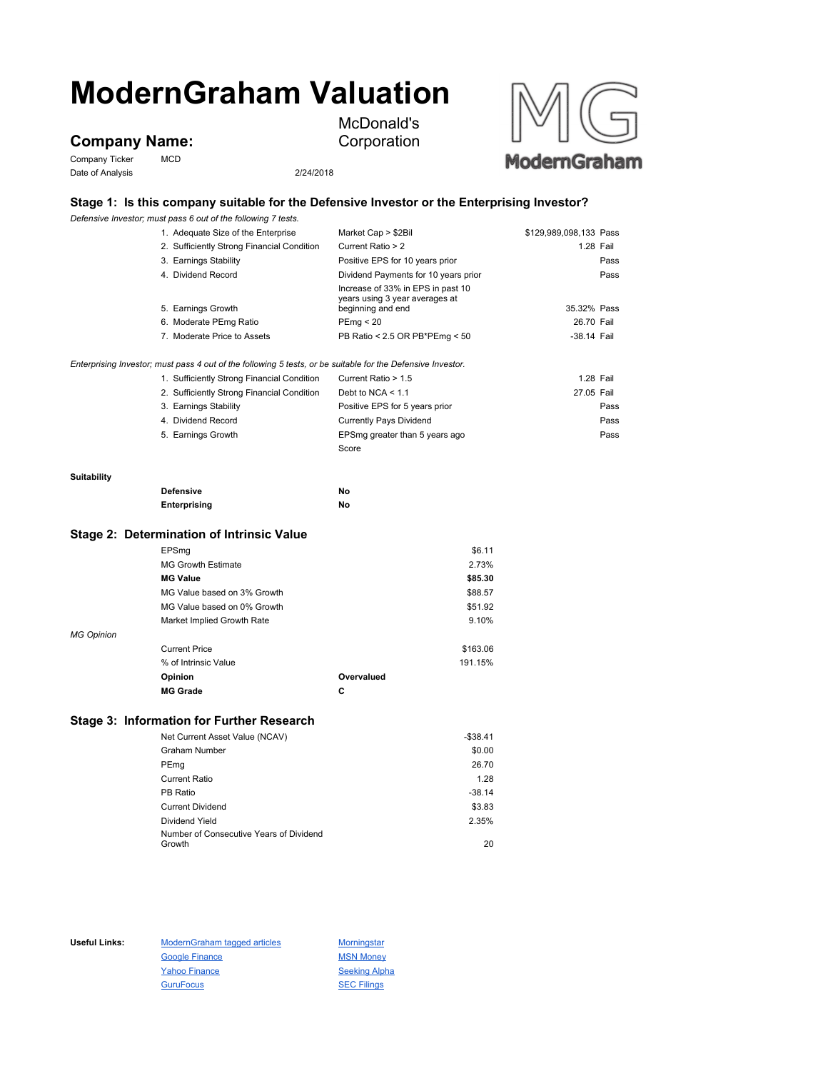# **ModernGraham Valuation**

## **Company Name:**

Company Ticker MCD Date of Analysis 2/24/2018



### **Stage 1: Is this company suitable for the Defensive Investor or the Enterprising Investor?**

McDonald's Corporation

*Defensive Investor; must pass 6 out of the following 7 tests.*

|                                                                             |  | 1. Adequate Size of the Enterprise                                                                          | Market Cap > \$2Bil                                 | \$129,989,098,133 Pass |           |
|-----------------------------------------------------------------------------|--|-------------------------------------------------------------------------------------------------------------|-----------------------------------------------------|------------------------|-----------|
|                                                                             |  | 2. Sufficiently Strong Financial Condition                                                                  | Current Ratio > 2                                   |                        | 1.28 Fail |
|                                                                             |  | 3. Earnings Stability                                                                                       | Positive EPS for 10 years prior                     |                        | Pass      |
|                                                                             |  | 4. Dividend Record                                                                                          | Dividend Payments for 10 years prior                |                        | Pass      |
|                                                                             |  |                                                                                                             | Increase of 33% in EPS in past 10                   |                        |           |
|                                                                             |  | 5. Earnings Growth                                                                                          | years using 3 year averages at<br>beginning and end | 35.32% Pass            |           |
|                                                                             |  | 6. Moderate PEmg Ratio                                                                                      | PEmg < 20                                           | 26.70 Fail             |           |
|                                                                             |  | 7. Moderate Price to Assets                                                                                 | PB Ratio < 2.5 OR PB*PEmg < 50                      | -38.14 Fail            |           |
|                                                                             |  |                                                                                                             |                                                     |                        |           |
|                                                                             |  | Enterprising Investor; must pass 4 out of the following 5 tests, or be suitable for the Defensive Investor. |                                                     |                        |           |
|                                                                             |  | 1. Sufficiently Strong Financial Condition                                                                  | Current Ratio > 1.5                                 |                        | 1.28 Fail |
|                                                                             |  | 2. Sufficiently Strong Financial Condition                                                                  | Debt to NCA $<$ 1.1                                 | 27.05 Fail             |           |
|                                                                             |  | 3. Earnings Stability                                                                                       | Positive EPS for 5 years prior                      |                        | Pass      |
|                                                                             |  | 4. Dividend Record                                                                                          | <b>Currently Pays Dividend</b>                      |                        | Pass      |
|                                                                             |  | 5. Earnings Growth                                                                                          | EPSmg greater than 5 years ago                      |                        | Pass      |
|                                                                             |  |                                                                                                             | Score                                               |                        |           |
| Suitability                                                                 |  |                                                                                                             |                                                     |                        |           |
|                                                                             |  | <b>Defensive</b>                                                                                            | No                                                  |                        |           |
|                                                                             |  | Enterprising                                                                                                | No                                                  |                        |           |
|                                                                             |  | Stage 2: Determination of Intrinsic Value                                                                   |                                                     |                        |           |
|                                                                             |  | EPSmg                                                                                                       | \$6.11                                              |                        |           |
| <b>MG Growth Estimate</b><br><b>MG Value</b><br>MG Value based on 3% Growth |  |                                                                                                             | 2.73%                                               |                        |           |
|                                                                             |  |                                                                                                             | \$85.30                                             |                        |           |
|                                                                             |  |                                                                                                             | \$88.57                                             |                        |           |
|                                                                             |  | MG Value based on 0% Growth                                                                                 | \$51.92                                             |                        |           |
|                                                                             |  |                                                                                                             |                                                     |                        |           |

*MG Opinion* Current Price \$163.06 % of Intrinsic Value 191.15% **Opinion Overvalued**

**MG Grade C**

#### **Stage 3: Information for Further Research**

| Net Current Asset Value (NCAV)          | $-$ \$38.41 |
|-----------------------------------------|-------------|
| Graham Number                           | \$0.00      |
| PEmg                                    | 26.70       |
| <b>Current Ratio</b>                    | 1.28        |
| PB Ratio                                | $-38.14$    |
| <b>Current Dividend</b>                 | \$3.83      |
| Dividend Yield                          | 2.35%       |
| Number of Consecutive Years of Dividend |             |
| Growth                                  | 20          |

Market Implied Growth Rate 9.10%

Useful Links: ModernGraham tagged articles Morningstar Google Finance MSN Money Yahoo Finance Seeking Alpha GuruFocus SEC Filings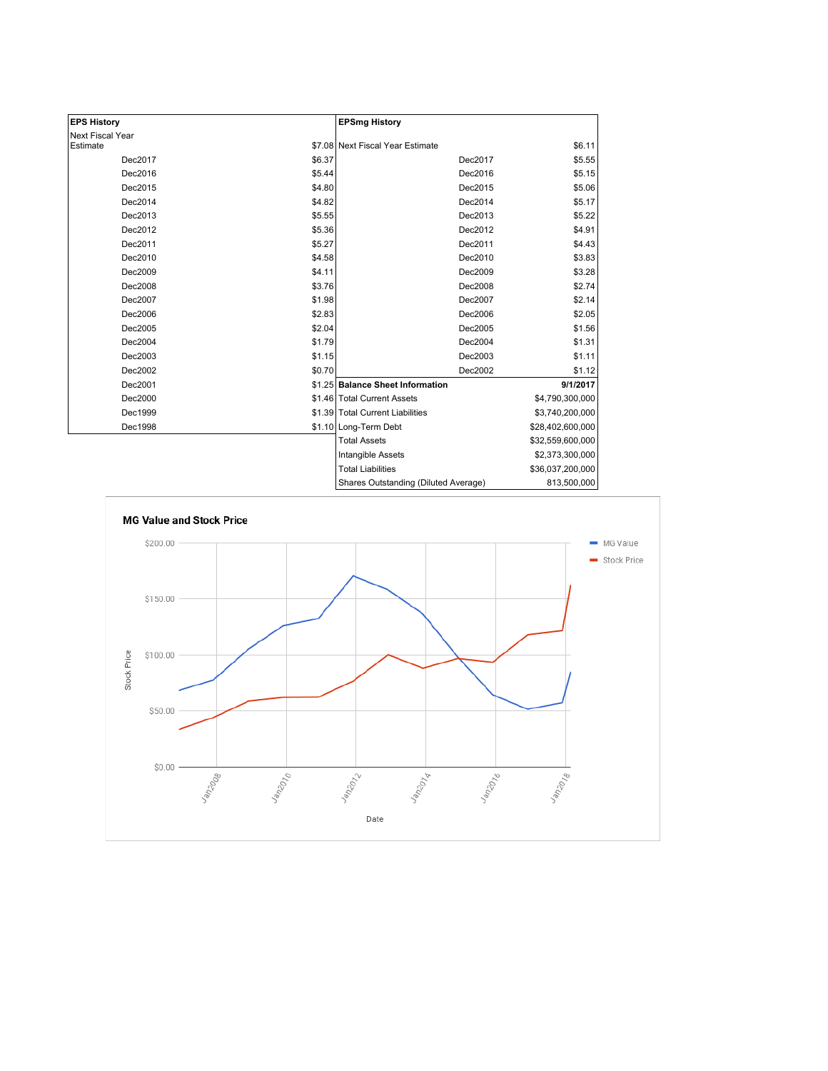| <b>EPS History</b> |        | <b>EPSmg History</b>                 |                  |
|--------------------|--------|--------------------------------------|------------------|
| Next Fiscal Year   |        |                                      |                  |
| Estimate           |        | \$7.08 Next Fiscal Year Estimate     | \$6.11           |
| Dec2017            | \$6.37 | Dec2017                              | \$5.55           |
| Dec2016            | \$5.44 | Dec2016                              | \$5.15           |
| Dec2015            | \$4.80 | Dec2015                              | \$5.06           |
| Dec2014            | \$4.82 | Dec2014                              | \$5.17           |
| Dec2013            | \$5.55 | Dec2013                              | \$5.22           |
| Dec2012            | \$5.36 | Dec2012                              | \$4.91           |
| Dec2011            | \$5.27 | Dec2011                              | \$4.43           |
| Dec2010            | \$4.58 | Dec2010                              | \$3.83           |
| Dec2009            | \$4.11 | Dec2009                              | \$3.28           |
| Dec2008            | \$3.76 | Dec2008                              | \$2.74           |
| Dec2007            | \$1.98 | Dec2007                              | \$2.14           |
| Dec2006            | \$2.83 | Dec2006                              | \$2.05           |
| Dec2005            | \$2.04 | Dec2005                              | \$1.56           |
| Dec2004            | \$1.79 | Dec2004                              | \$1.31           |
| Dec2003            | \$1.15 | Dec2003                              | \$1.11           |
| Dec2002            | \$0.70 | Dec2002                              | \$1.12           |
| Dec2001            |        | \$1.25 Balance Sheet Information     | 9/1/2017         |
| Dec2000            |        | \$1.46 Total Current Assets          | \$4,790,300,000  |
| Dec1999            |        | \$1.39 Total Current Liabilities     | \$3,740,200,000  |
| Dec1998            |        | \$1.10 Long-Term Debt                | \$28,402,600,000 |
|                    |        | <b>Total Assets</b>                  | \$32,559,600,000 |
|                    |        | Intangible Assets                    | \$2,373,300,000  |
|                    |        | <b>Total Liabilities</b>             | \$36,037,200,000 |
|                    |        | Shares Outstanding (Diluted Average) | 813,500,000      |